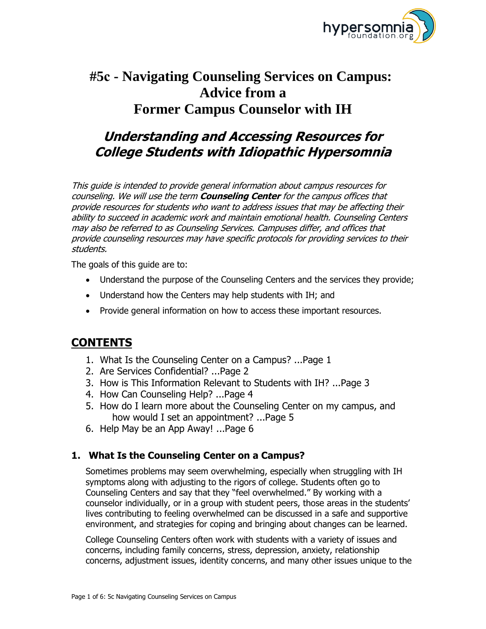

# **Advice from a Former Campus Counselor with IH #5c - Navigating Counseling Services on Campus:**

# **Understanding and Accessing Resources for College Students with Idiopathic Hypersomnia**

This guide is intended to provide general information about campus resources for counseling. We will use the term **Counseling Center** for the campus offices that provide resources for students who want to address issues that may be affecting their ability to succeed in academic work and maintain emotional health. Counseling Centers may also be referred to as Counseling Services. Campuses differ, and offices that provide counseling resources may have specific protocols for providing services to their students.

The goals of this guide are to:

- Understand the purpose of the Counseling Centers and the services they provide;
- Understand how the Centers may help students with IH; and
- Provide general information on how to access these important resources.

# **CONTENTS**

- 1. What Is the Counseling Center on a Campus? ...Page 1
- 2. Are Services Confidential? ...Page 2
- 3. How is This Information Relevant to Students with IH? ...Page 3
- 4. How Can Counseling Help? ...Page 4
- 5. How do I learn more about the Counseling Center on my campus, and how would I set an appointment? ...Page 5
- 6. Help May be an App Away! ...Page 6

# **1. What Is the Counseling Center on a Campus?**

Sometimes problems may seem overwhelming, especially when struggling with IH symptoms along with adjusting to the rigors of college. Students often go to Counseling Centers and say that they "feel overwhelmed." By working with a counselor individually, or in a group with student peers, those areas in the students' lives contributing to feeling overwhelmed can be discussed in a safe and supportive environment, and strategies for coping and bringing about changes can be learned.

College Counseling Centers often work with students with a variety of issues and concerns, including family concerns, stress, depression, anxiety, relationship concerns, adjustment issues, identity concerns, and many other issues unique to the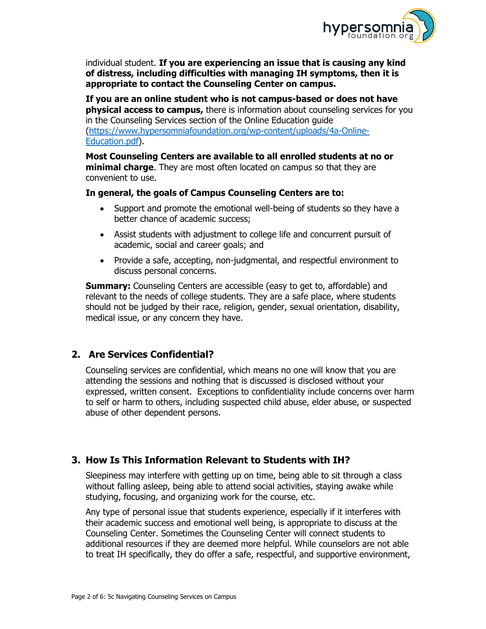

individual student. **If you are experiencing an issue that is causing any kind of distress, including difficulties with managing IH symptoms, then it is appropriate to contact the Counseling Center on campus.** 

**If you are an online student who is not campus-based or does not have physical access to campus,** there is information about counseling services for you in the Counseling Services section of the Online Education guide [\(https://www.hypersomniafoundation.org/wp-content/uploads/4a-Online-](https://www.hypersomniafoundation.org/wp-content/uploads/4a-Online-Education.pdf)[Education.pdf\)](https://www.hypersomniafoundation.org/wp-content/uploads/4a-Online-Education.pdf).

**Most Counseling Centers are available to all enrolled students at no or minimal charge**. They are most often located on campus so that they are convenient to use.

#### **In general, the goals of Campus Counseling Centers are to:**

- Support and promote the emotional well-being of students so they have a better chance of academic success;
- Assist students with adjustment to college life and concurrent pursuit of academic, social and career goals; and
- Provide a safe, accepting, non-judgmental, and respectful environment to discuss personal concerns.

**Summary:** Counseling Centers are accessible (easy to get to, affordable) and relevant to the needs of college students. They are a safe place, where students should not be judged by their race, religion, gender, sexual orientation, disability, medical issue, or any concern they have.

### **2. Are Services Confidential?**

Counseling services are confidential, which means no one will know that you are attending the sessions and nothing that is discussed is disclosed without your expressed, written consent. Exceptions to confidentiality include concerns over harm to self or harm to others, including suspected child abuse, elder abuse, or suspected abuse of other dependent persons.

# **3. How Is This Information Relevant to Students with IH?**

Sleepiness may interfere with getting up on time, being able to sit through a class without falling asleep, being able to attend social activities, staying awake while studying, focusing, and organizing work for the course, etc.

Any type of personal issue that students experience, especially if it interferes with their academic success and emotional well being, is appropriate to discuss at the Counseling Center. Sometimes the Counseling Center will connect students to additional resources if they are deemed more helpful. While counselors are not able to treat IH specifically, they do offer a safe, respectful, and supportive environment,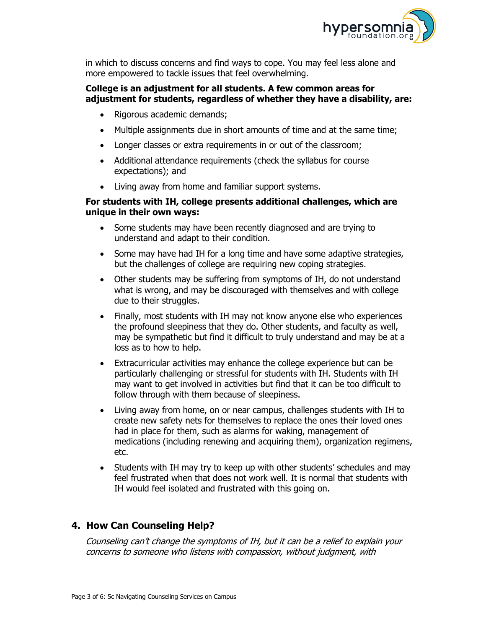

in which to discuss concerns and find ways to cope. You may feel less alone and more empowered to tackle issues that feel overwhelming.

#### **College is an adjustment for all students. A few common areas for adjustment for students, regardless of whether they have a disability, are:**

- Rigorous academic demands;
- Multiple assignments due in short amounts of time and at the same time;
- Longer classes or extra requirements in or out of the classroom;
- Additional attendance requirements (check the syllabus for course expectations); and
- Living away from home and familiar support systems.

#### **For students with IH, college presents additional challenges, which are unique in their own ways:**

- Some students may have been recently diagnosed and are trying to understand and adapt to their condition.
- Some may have had IH for a long time and have some adaptive strategies, but the challenges of college are requiring new coping strategies.
- Other students may be suffering from symptoms of IH, do not understand what is wrong, and may be discouraged with themselves and with college due to their struggles.
- Finally, most students with IH may not know anyone else who experiences the profound sleepiness that they do. Other students, and faculty as well, may be sympathetic but find it difficult to truly understand and may be at a loss as to how to help.
- Extracurricular activities may enhance the college experience but can be particularly challenging or stressful for students with IH. Students with IH may want to get involved in activities but find that it can be too difficult to follow through with them because of sleepiness.
- Living away from home, on or near campus, challenges students with IH to create new safety nets for themselves to replace the ones their loved ones had in place for them, such as alarms for waking, management of medications (including renewing and acquiring them), organization regimens, etc.
- Students with IH may try to keep up with other students' schedules and may feel frustrated when that does not work well. It is normal that students with IH would feel isolated and frustrated with this going on.

# **4. How Can Counseling Help?**

Counseling can't change the symptoms of IH, but it can be a relief to explain your concerns to someone who listens with compassion, without judgment, with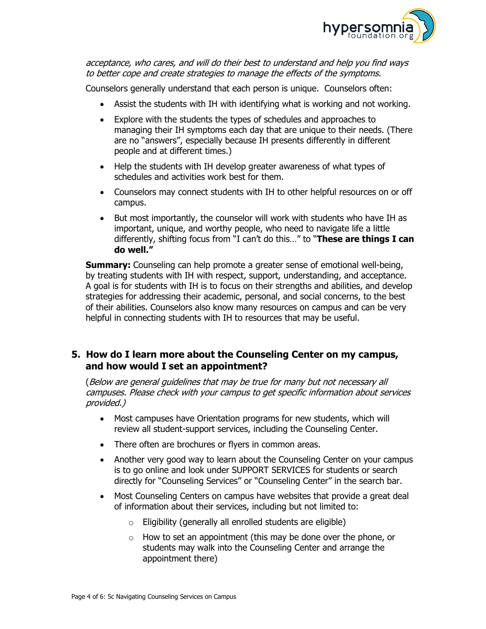

acceptance, who cares, and will do their best to understand and help you find ways to better cope and create strategies to manage the effects of the symptoms.

Counselors generally understand that each person is unique. Counselors often:

- Assist the students with IH with identifying what is working and not working.
- Explore with the students the types of schedules and approaches to managing their IH symptoms each day that are unique to their needs. (There are no "answers", especially because IH presents differently in different people and at different times.)
- Help the students with IH develop greater awareness of what types of schedules and activities work best for them.
- Counselors may connect students with IH to other helpful resources on or off campus.
- But most importantly, the counselor will work with students who have IH as important, unique, and worthy people, who need to navigate life a little differently, shifting focus from "I can't do this…" to "**These are things I can do well."**

**Summary:** Counseling can help promote a greater sense of emotional well-being, by treating students with IH with respect, support, understanding, and acceptance. A goal is for students with IH is to focus on their strengths and abilities, and develop strategies for addressing their academic, personal, and social concerns, to the best of their abilities. Counselors also know many resources on campus and can be very helpful in connecting students with IH to resources that may be useful.

### **5. How do I learn more about the Counseling Center on my campus, and how would I set an appointment?**

(Below are general guidelines that may be true for many but not necessary all campuses. Please check with your campus to get specific information about services provided.)

- Most campuses have Orientation programs for new students, which will review all student-support services, including the Counseling Center.
- There often are brochures or flyers in common areas.
- Another very good way to learn about the Counseling Center on your campus is to go online and look under SUPPORT SERVICES for students or search directly for "Counseling Services" or "Counseling Center" in the search bar.
- Most Counseling Centers on campus have websites that provide a great deal of information about their services, including but not limited to:
	- $\circ$  Eligibility (generally all enrolled students are eligible)
	- o How to set an appointment (this may be done over the phone, or students may walk into the Counseling Center and arrange the appointment there)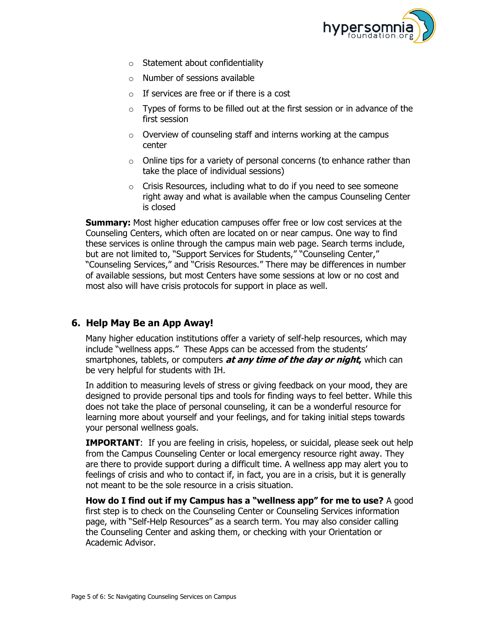

- $\circ$  Statement about confidentiality
- $\circ$  Number of sessions available
- $\circ$  If services are free or if there is a cost
- $\circ$  Types of forms to be filled out at the first session or in advance of the first session
- o Overview of counseling staff and interns working at the campus center
- o Online tips for a variety of personal concerns (to enhance rather than take the place of individual sessions)
- o Crisis Resources, including what to do if you need to see someone right away and what is available when the campus Counseling Center is closed

**Summary:** Most higher education campuses offer free or low cost services at the Counseling Centers, which often are located on or near campus. One way to find these services is online through the campus main web page. Search terms include, but are not limited to, "Support Services for Students," "Counseling Center," "Counseling Services," and "Crisis Resources." There may be differences in number of available sessions, but most Centers have some sessions at low or no cost and most also will have crisis protocols for support in place as well.

# **6. Help May Be an App Away!**

Many higher education institutions offer a variety of self-help resources, which may include "wellness apps." These Apps can be accessed from the students' smartphones, tablets, or computers **at any time of the day or night,** which can be very helpful for students with IH.

In addition to measuring levels of stress or giving feedback on your mood, they are designed to provide personal tips and tools for finding ways to feel better. While this does not take the place of personal counseling, it can be a wonderful resource for learning more about yourself and your feelings, and for taking initial steps towards your personal wellness goals.

**IMPORTANT:** If you are feeling in crisis, hopeless, or suicidal, please seek out help from the Campus Counseling Center or local emergency resource right away. They are there to provide support during a difficult time. A wellness app may alert you to feelings of crisis and who to contact if, in fact, you are in a crisis, but it is generally not meant to be the sole resource in a crisis situation.

**How do I find out if my Campus has a "wellness app" for me to use?** A good first step is to check on the Counseling Center or Counseling Services information page, with "Self-Help Resources" as a search term. You may also consider calling the Counseling Center and asking them, or checking with your Orientation or Academic Advisor.